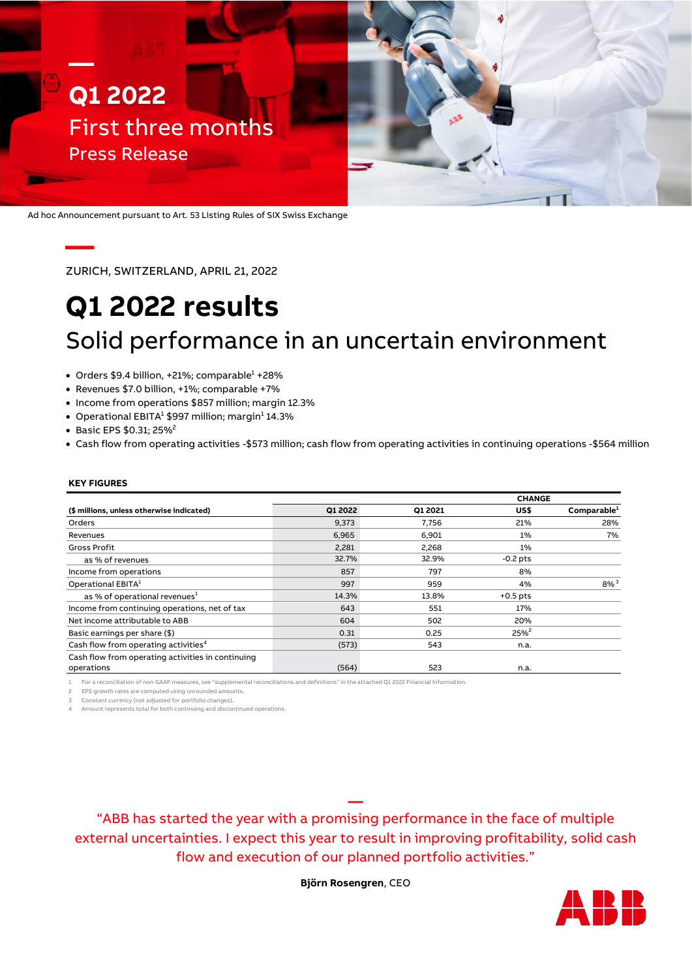

Ad hoc Announcement pursuant to Art. 53 Listing Rules of SIX Swiss Exchange

ZURICH, SWITZERLAND, APRIL 21, 2022

# **Q1 2022 results** Solid performance in an uncertain environment

- Orders  $$9.4$  billion, +21%; comparable $^{1}$  +28%
- Revenues \$7.0 billion, +1%; comparable +7%
- Income from operations \$857 million; margin 12.3%
- $\bullet~$  Operational EBITA $^1$  \$997 million; margin $^1$  14.3%
- Basic EPS \$0.31; 25%<sup>2</sup>
- Cash flow from operating activities -\$573 million; cash flow from operating activities in continuing operations -\$564 million

#### **KEY FIGURES**

**—**

|                                                   |         |         | <b>CHANGE</b> |                         |
|---------------------------------------------------|---------|---------|---------------|-------------------------|
| (\$ millions, unless otherwise indicated)         | Q1 2022 | Q1 2021 | US\$          | Comparable <sup>1</sup> |
| Orders                                            | 9,373   | 7.756   | 21%           | 28%                     |
| Revenues                                          | 6.965   | 6,901   | 1%            | 7%                      |
| Gross Profit                                      | 2,281   | 2,268   | 1%            |                         |
| as % of revenues                                  | 32.7%   | 32.9%   | $-0.2$ pts    |                         |
| Income from operations                            | 857     | 797     | 8%            |                         |
| Operational EBITA <sup>1</sup>                    | 997     | 959     | 4%            | $8\%$ <sup>3</sup>      |
| as % of operational revenues <sup>1</sup>         | 14.3%   | 13.8%   | $+0.5$ pts    |                         |
| Income from continuing operations, net of tax     | 643     | 551     | 17%           |                         |
| Net income attributable to ABB                    | 604     | 502     | 20%           |                         |
| Basic earnings per share (\$)                     | 0.31    | 0.25    | $25%^2$       |                         |
| Cash flow from operating activities <sup>4</sup>  | (573)   | 543     | n.a.          |                         |
| Cash flow from operating activities in continuing |         |         |               |                         |
| operations                                        | (564)   | 523     | n.a.          |                         |

1 For a reconciliation of non-GAAP measures, see "supplemental reconciliations and definitions" in the attached Q1 2022 Financial Information.

EPS growth rates are computed using unrounded amounts.

3 Constant currency (not adjusted for portfolio changes).

4 Amount represents total for both continuing and discontinued operations.

"ABB has started the year with a promising performance in the face of multiple external uncertainties. I expect this year to result in improving profitability, solid cash flow and execution of our planned portfolio activities."

**—**

**Björn Rosengren**, CEO

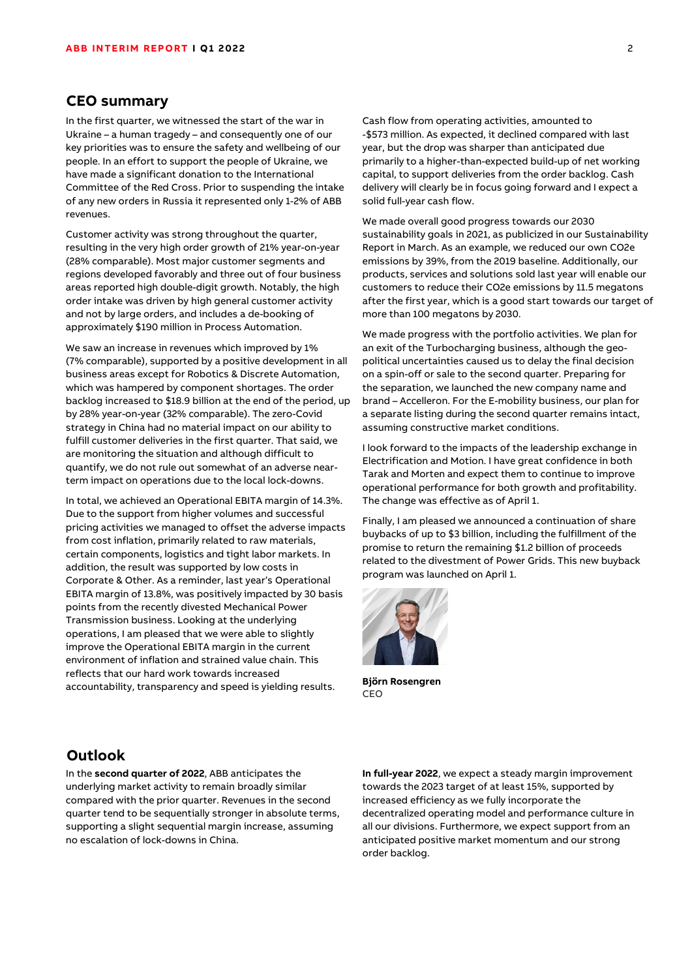## **CEO summary**

In the first quarter, we witnessed the start of the war in Ukraine – a human tragedy – and consequently one of our key priorities was to ensure the safety and wellbeing of our people. In an effort to support the people of Ukraine, we have made a significant donation to the International Committee of the Red Cross. Prior to suspending the intake of any new orders in Russia it represented only 1-2% of ABB revenues.

Customer activity was strong throughout the quarter, resulting in the very high order growth of 21% year-on-year (28% comparable). Most major customer segments and regions developed favorably and three out of four business areas reported high double-digit growth. Notably, the high order intake was driven by high general customer activity and not by large orders, and includes a de-booking of approximately \$190 million in Process Automation.

We saw an increase in revenues which improved by 1% (7% comparable), supported by a positive development in all business areas except for Robotics & Discrete Automation, which was hampered by component shortages. The order backlog increased to \$18.9 billion at the end of the period, up by 28% year-on-year (32% comparable). The zero-Covid strategy in China had no material impact on our ability to fulfill customer deliveries in the first quarter. That said, we are monitoring the situation and although difficult to quantify, we do not rule out somewhat of an adverse nearterm impact on operations due to the local lock-downs.

In total, we achieved an Operational EBITA margin of 14.3%. Due to the support from higher volumes and successful pricing activities we managed to offset the adverse impacts from cost inflation, primarily related to raw materials, certain components, logistics and tight labor markets. In addition, the result was supported by low costs in Corporate & Other. As a reminder, last year's Operational EBITA margin of 13.8%, was positively impacted by 30 basis points from the recently divested Mechanical Power Transmission business. Looking at the underlying operations, I am pleased that we were able to slightly improve the Operational EBITA margin in the current environment of inflation and strained value chain. This reflects that our hard work towards increased accountability, transparency and speed is yielding results.

Cash flow from operating activities, amounted to -\$573 million. As expected, it declined compared with last year, but the drop was sharper than anticipated due primarily to a higher-than-expected build-up of net working capital, to support deliveries from the order backlog. Cash delivery will clearly be in focus going forward and I expect a solid full-year cash flow.

We made overall good progress towards our 2030 sustainability goals in 2021, as publicized in our Sustainability Report in March. As an example, we reduced our own CO2e emissions by 39%, from the 2019 baseline. Additionally, our products, services and solutions sold last year will enable our customers to reduce their CO2e emissions by 11.5 megatons after the first year, which is a good start towards our target of more than 100 megatons by 2030.

We made progress with the portfolio activities. We plan for an exit of the Turbocharging business, although the geopolitical uncertainties caused us to delay the final decision on a spin-off or sale to the second quarter. Preparing for the separation, we launched the new company name and brand – Accelleron. For the E-mobility business, our plan for a separate listing during the second quarter remains intact, assuming constructive market conditions.

I look forward to the impacts of the leadership exchange in Electrification and Motion. I have great confidence in both Tarak and Morten and expect them to continue to improve operational performance for both growth and profitability. The change was effective as of April 1.

Finally, I am pleased we announced a continuation of share buybacks of up to \$3 billion, including the fulfillment of the promise to return the remaining \$1.2 billion of proceeds related to the divestment of Power Grids. This new buyback program was launched on April 1.



**Björn Rosengren** CEO

## **Outlook**

In the **second quarter of 2022**, ABB anticipates the underlying market activity to remain broadly similar compared with the prior quarter. Revenues in the second quarter tend to be sequentially stronger in absolute terms, supporting a slight sequential margin increase, assuming no escalation of lock-downs in China.

**In full-year 2022**, we expect a steady margin improvement towards the 2023 target of at least 15%, supported by increased efficiency as we fully incorporate the decentralized operating model and performance culture in all our divisions. Furthermore, we expect support from an anticipated positive market momentum and our strong order backlog.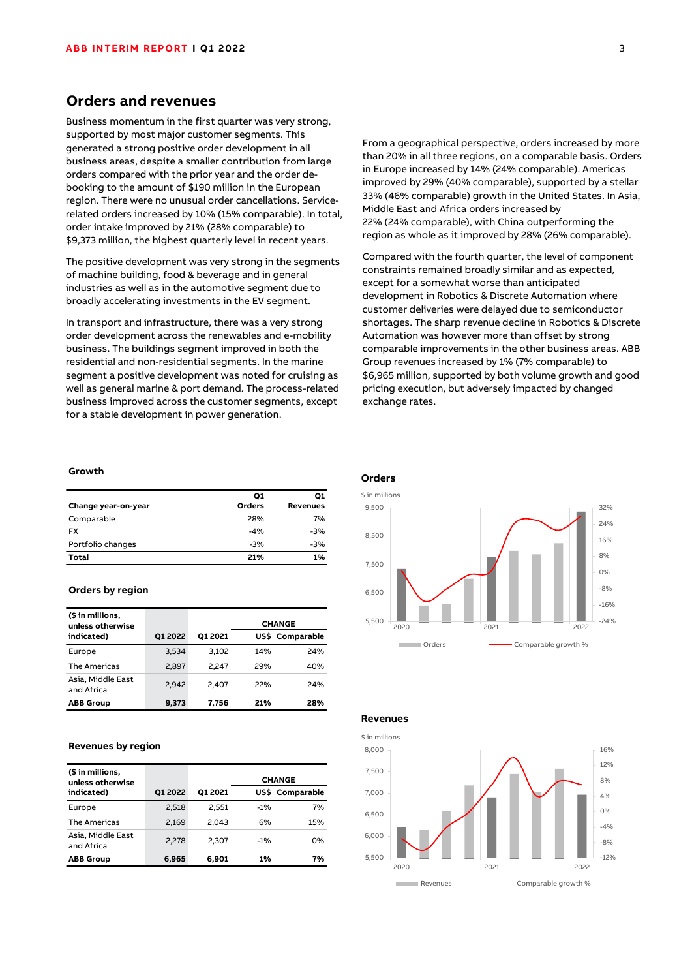## **Orders and revenues**

Business momentum in the first quarter was very strong, supported by most major customer segments. This generated a strong positive order development in all business areas, despite a smaller contribution from large orders compared with the prior year and the order debooking to the amount of \$190 million in the European region. There were no unusual order cancellations. Servicerelated orders increased by 10% (15% comparable). In total, order intake improved by 21% (28% comparable) to \$9,373 million, the highest quarterly level in recent years.

The positive development was very strong in the segments of machine building, food & beverage and in general industries as well as in the automotive segment due to broadly accelerating investments in the EV segment.

In transport and infrastructure, there was a very strong order development across the renewables and e-mobility business. The buildings segment improved in both the residential and non-residential segments. In the marine segment a positive development was noted for cruising as well as general marine & port demand. The process-related business improved across the customer segments, except for a stable development in power generation.

#### **Growth**

|                     | 01     | Q1              |
|---------------------|--------|-----------------|
| Change year-on-year | Orders | <b>Revenues</b> |
| Comparable          | 28%    | 7%              |
| <b>FX</b>           | $-4%$  | $-3%$           |
| Portfolio changes   | $-3%$  | $-3%$           |
| Total               | 21%    | 1%              |

#### **Orders by region**

| (\$ in millions,<br>unless otherwise |         |         |      | <b>CHANGE</b> |
|--------------------------------------|---------|---------|------|---------------|
| indicated)                           | Q1 2022 | O1 2021 | US\$ | Comparable    |
| Europe                               | 3.534   | 3.102   | 14%  | 24%           |
| The Americas                         | 2.897   | 2.247   | 29%  | 40%           |
| Asia, Middle East<br>and Africa      | 2.942   | 2.407   | 22%  | 24%           |
| <b>ABB Group</b>                     | 9,373   | 7,756   | 21%  | 28%           |

#### **Revenues by region**

| (\$ in millions,<br>unless otherwise |         |         |        | <b>CHANGE</b>   |
|--------------------------------------|---------|---------|--------|-----------------|
| indicated)                           | O1 2022 | O1 2021 |        | US\$ Comparable |
| Europe                               | 2,518   | 2.551   | $-1\%$ | 7%              |
| <b>The Americas</b>                  | 2.169   | 2.043   | 6%     | 15%             |
| Asia, Middle East<br>and Africa      | 2,278   | 2.307   | $-1\%$ | 0%              |
| <b>ABB Group</b>                     | 6,965   | 6.901   | 1%     | 7%              |

From a geographical perspective, orders increased by more than 20% in all three regions, on a comparable basis. Orders in Europe increased by 14% (24% comparable). Americas improved by 29% (40% comparable), supported by a stellar 33% (46% comparable) growth in the United States. In Asia, Middle East and Africa orders increased by 22% (24% comparable), with China outperforming the region as whole as it improved by 28% (26% comparable).

Compared with the fourth quarter, the level of component constraints remained broadly similar and as expected, except for a somewhat worse than anticipated development in Robotics & Discrete Automation where customer deliveries were delayed due to semiconductor shortages. The sharp revenue decline in Robotics & Discrete Automation was however more than offset by strong comparable improvements in the other business areas. ABB Group revenues increased by 1% (7% comparable) to \$6,965 million, supported by both volume growth and good pricing execution, but adversely impacted by changed exchange rates.



-12% -8%  $-4%$ 0% 4% 8% 12% 16% 5,500 6,000 6,500 7,000 7,500 8,000 2020 2021 2022 Revenues **Comparable growth %** \$ in millions

**Revenues**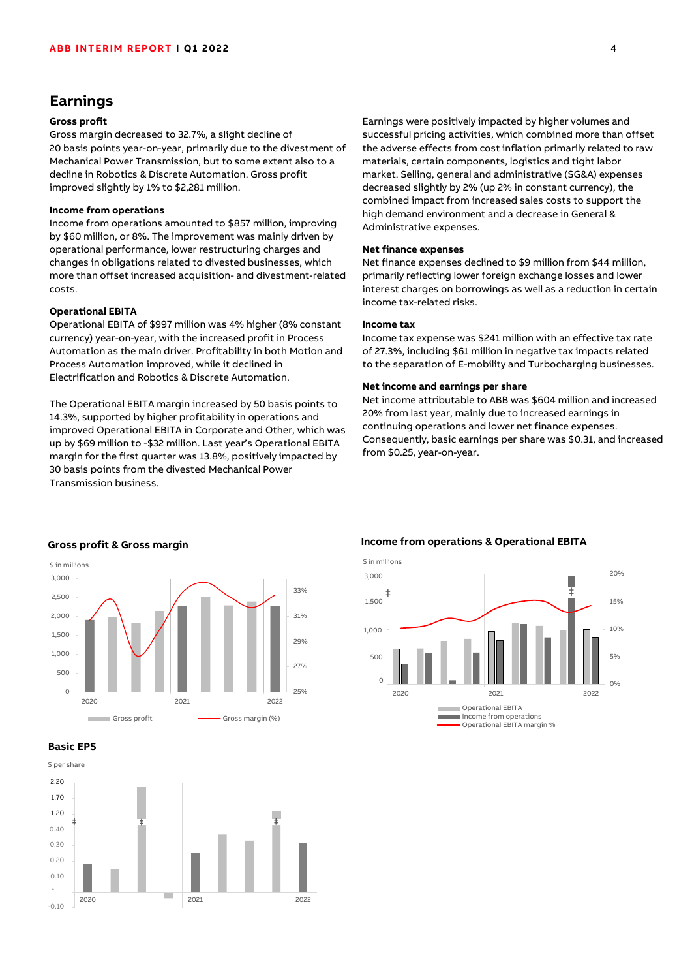## **Earnings**

## **Gross profit**

Gross margin decreased to 32.7%, a slight decline of 20 basis points year-on-year, primarily due to the divestment of Mechanical Power Transmission, but to some extent also to a decline in Robotics & Discrete Automation. Gross profit improved slightly by 1% to \$2,281 million.

#### **Income from operations**

Income from operations amounted to \$857 million, improving by \$60 million, or 8%. The improvement was mainly driven by operational performance, lower restructuring charges and changes in obligations related to divested businesses, which more than offset increased acquisition- and divestment-related costs.

#### **Operational EBITA**

Operational EBITA of \$997 million was 4% higher (8% constant currency) year-on-year, with the increased profit in Process Automation as the main driver. Profitability in both Motion and Process Automation improved, while it declined in Electrification and Robotics & Discrete Automation.

The Operational EBITA margin increased by 50 basis points to 14.3%, supported by higher profitability in operations and improved Operational EBITA in Corporate and Other, which was up by \$69 million to -\$32 million. Last year's Operational EBITA margin for the first quarter was 13.8%, positively impacted by 30 basis points from the divested Mechanical Power Transmission business.

Earnings were positively impacted by higher volumes and successful pricing activities, which combined more than offset the adverse effects from cost inflation primarily related to raw materials, certain components, logistics and tight labor market. Selling, general and administrative (SG&A) expenses decreased slightly by 2% (up 2% in constant currency), the combined impact from increased sales costs to support the high demand environment and a decrease in General & Administrative expenses.

#### **Net finance expenses**

Net finance expenses declined to \$9 million from \$44 million, primarily reflecting lower foreign exchange losses and lower interest charges on borrowings as well as a reduction in certain income tax-related risks.

#### **Income tax**

Income tax expense was \$241 million with an effective tax rate of 27.3%, including \$61 million in negative tax impacts related to the separation of E-mobility and Turbocharging businesses.

#### **Net income and earnings per share**

Net income attributable to ABB was \$604 million and increased 20% from last year, mainly due to increased earnings in continuing operations and lower net finance expenses. Consequently, basic earnings per share was \$0.31, and increased from \$0.25, year-on-year.







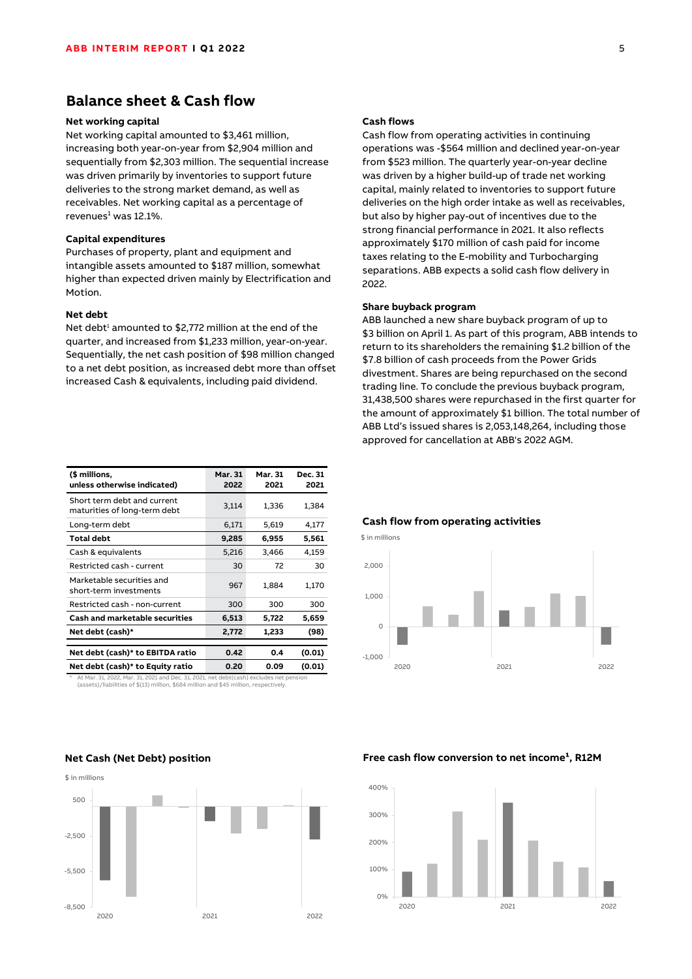## **Balance sheet & Cash flow**

#### **Net working capital**

Net working capital amounted to \$3,461 million, increasing both year-on-year from \$2,904 million and sequentially from \$2,303 million. The sequential increase was driven primarily by inventories to support future deliveries to the strong market demand, as well as receivables. Net working capital as a percentage of revenues $1$  was 12.1%.

#### **Capital expenditures**

Purchases of property, plant and equipment and intangible assets amounted to \$187 million, somewhat higher than expected driven mainly by Electrification and Motion.

#### **Net debt**

Net debt<sup>1</sup> amounted to \$2,772 million at the end of the quarter, and increased from \$1,233 million, year-on-year. Sequentially, the net cash position of \$98 million changed to a net debt position, as increased debt more than offset increased Cash & equivalents, including paid dividend.

| (\$ millions,<br>unless otherwise indicated)                | Mar. 31<br>2022 | Mar. 31<br>2021 | Dec. 31<br>2021 |
|-------------------------------------------------------------|-----------------|-----------------|-----------------|
| Short term debt and current<br>maturities of long-term debt | 3,114           | 1,336           | 1,384           |
| Long-term debt                                              | 6.171           | 5,619           | 4,177           |
| Total debt                                                  | 9,285           | 6,955           | 5,561           |
| Cash & equivalents                                          | 5,216           | 3,466           | 4,159           |
| Restricted cash - current                                   | 30              | 72              | 30              |
| Marketable securities and<br>short-term investments         | 967             | 1,884           | 1,170           |
| Restricted cash - non-current                               | 300             | 300             | 300             |
| Cash and marketable securities                              | 6,513           | 5,722           | 5,659           |
| Net debt (cash)*                                            | 2,772           | 1,233           | (98)            |
|                                                             |                 |                 |                 |
| Net debt (cash)* to EBITDA ratio                            | 0.42            | 0.4             | (0.01)          |
| Net debt (cash)* to Equity ratio                            | 0.20            | 0.09            | (0.01)          |

\* At Mar. 31, 2022, Mar. 31, 2021 and Dec. 31, 2021, net debt(cash) excludes net pension (assets)/liabilities of \$(13) million, \$684 million and \$45 million, respectively.

# -8,500  $-5,500$ -2,500 500 **Net Cash (Net Debt) position** \$ in millions

2020 2021 2022

#### **Cash flows**

Cash flow from operating activities in continuing operations was -\$564 million and declined year-on-year from \$523 million. The quarterly year-on-year decline was driven by a higher build-up of trade net working capital, mainly related to inventories to support future deliveries on the high order intake as well as receivables, but also by higher pay-out of incentives due to the strong financial performance in 2021. It also reflects approximately \$170 million of cash paid for income taxes relating to the E-mobility and Turbocharging separations. ABB expects a solid cash flow delivery in 2022.

#### **Share buyback program**

ABB launched a new share buyback program of up to \$3 billion on April 1. As part of this program, ABB intends to return to its shareholders the remaining \$1.2 billion of the \$7.8 billion of cash proceeds from the Power Grids divestment. Shares are being repurchased on the second trading line. To conclude the previous buyback program, 31,438,500 shares were repurchased in the first quarter for the amount of approximately \$1 billion. The total number of ABB Ltd's issued shares is 2,053,148,264, including those approved for cancellation at ABB's 2022 AGM.



#### **Cash flow from operating activities**

#### Free cash flow conversion to net income<sup>1</sup>, R12M

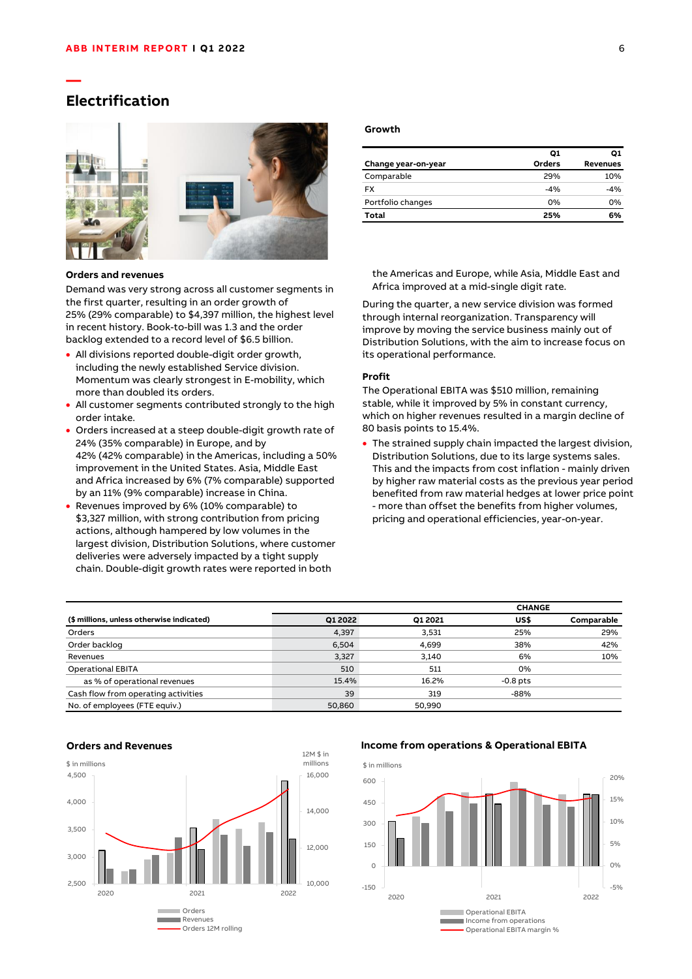## **Electrification**

**—**



#### **Orders and revenues**

Demand was very strong across all customer segments in the first quarter, resulting in an order growth of 25% (29% comparable) to \$4,397 million, the highest level in recent history. Book-to-bill was 1.3 and the order backlog extended to a record level of \$6.5 billion.

- All divisions reported double-digit order growth, including the newly established Service division. Momentum was clearly strongest in E-mobility, which more than doubled its orders.
- All customer segments contributed strongly to the high order intake.
- Orders increased at a steep double-digit growth rate of 24% (35% comparable) in Europe, and by 42% (42% comparable) in the Americas, including a 50% improvement in the United States. Asia, Middle East and Africa increased by 6% (7% comparable) supported by an 11% (9% comparable) increase in China.
- Revenues improved by 6% (10% comparable) to \$3,327 million, with strong contribution from pricing actions, although hampered by low volumes in the largest division, Distribution Solutions, where customer deliveries were adversely impacted by a tight supply chain. Double-digit growth rates were reported in both

#### **Growth**

|                     | Ο1     | O1              |
|---------------------|--------|-----------------|
| Change year-on-year | Orders | <b>Revenues</b> |
| Comparable          | 29%    | 10%             |
| <b>FX</b>           | $-4%$  | $-4%$           |
| Portfolio changes   | 0%     | 0%              |
| Total               | 25%    | 6%              |

the Americas and Europe, while Asia, Middle East and Africa improved at a mid-single digit rate.

During the quarter, a new service division was formed through internal reorganization. Transparency will improve by moving the service business mainly out of Distribution Solutions, with the aim to increase focus on its operational performance.

#### **Profit**

The Operational EBITA was \$510 million, remaining stable, while it improved by 5% in constant currency, which on higher revenues resulted in a margin decline of 80 basis points to 15.4%.

• The strained supply chain impacted the largest division, Distribution Solutions, due to its large systems sales. This and the impacts from cost inflation - mainly driven by higher raw material costs as the previous year period benefited from raw material hedges at lower price point - more than offset the benefits from higher volumes, pricing and operational efficiencies, year-on-year.

|                                           |         |         | <b>CHANGE</b> |            |
|-------------------------------------------|---------|---------|---------------|------------|
| (\$ millions, unless otherwise indicated) | Q1 2022 | Q1 2021 | US\$          | Comparable |
| Orders                                    | 4,397   | 3,531   | 25%           | 29%        |
| Order backlog                             | 6,504   | 4,699   | 38%           | 42%        |
| Revenues                                  | 3,327   | 3,140   | 6%            | 10%        |
| <b>Operational EBITA</b>                  | 510     | 511     | 0%            |            |
| as % of operational revenues              | 15.4%   | 16.2%   | $-0.8$ pts    |            |
| Cash flow from operating activities       | 39      | 319     | $-88%$        |            |
| No. of employees (FTE equiv.)             | 50.860  | 50.990  |               |            |



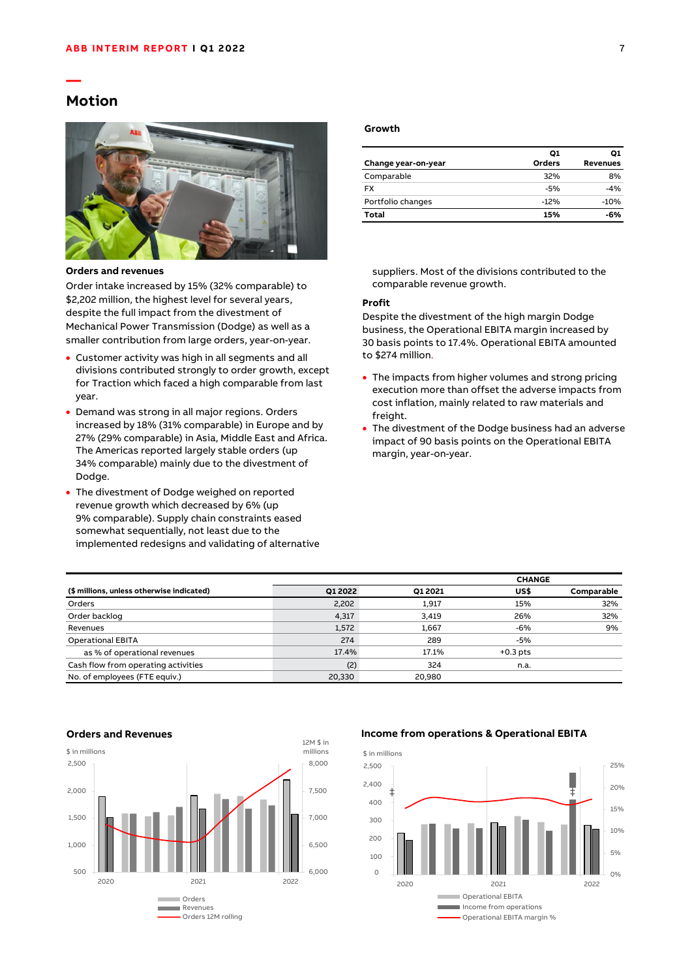## **Motion**

**—**



**Orders and revenues**

Order intake increased by 15% (32% comparable) to \$2,202 million, the highest level for several years, despite the full impact from the divestment of Mechanical Power Transmission (Dodge) as well as a smaller contribution from large orders, year-on-year.

- Customer activity was high in all segments and all divisions contributed strongly to order growth, except for Traction which faced a high comparable from last year.
- Demand was strong in all major regions. Orders increased by 18% (31% comparable) in Europe and by 27% (29% comparable) in Asia, Middle East and Africa. The Americas reported largely stable orders (up 34% comparable) mainly due to the divestment of Dodge.
- The divestment of Dodge weighed on reported revenue growth which decreased by 6% (up 9% comparable). Supply chain constraints eased somewhat sequentially, not least due to the implemented redesigns and validating of alternative

#### **Growth**

|                     | Ο1     | Ο1       |
|---------------------|--------|----------|
| Change year-on-year | Orders | Revenues |
| Comparable          | 32%    | 8%       |
| <b>FX</b>           | $-5%$  | $-4%$    |
| Portfolio changes   | $-12%$ | $-10%$   |
| Total               | 15%    | -6%      |

suppliers. Most of the divisions contributed to the comparable revenue growth.

#### **Profit**

Despite the divestment of the high margin Dodge business, the Operational EBITA margin increased by 30 basis points to 17.4%. Operational EBITA amounted to \$274 million.

- The impacts from higher volumes and strong pricing execution more than offset the adverse impacts from cost inflation, mainly related to raw materials and freight.
- The divestment of the Dodge business had an adverse impact of 90 basis points on the Operational EBITA margin, year-on-year.

|                                           |         |         | <b>CHANGE</b> |            |
|-------------------------------------------|---------|---------|---------------|------------|
| (\$ millions, unless otherwise indicated) | Q1 2022 | Q1 2021 | US\$          | Comparable |
| Orders                                    | 2,202   | 1,917   | 15%           | 32%        |
| Order backlog                             | 4,317   | 3,419   | 26%           | 32%        |
| Revenues                                  | 1.572   | 1.667   | -6%           | 9%         |
| <b>Operational EBITA</b>                  | 274     | 289     | -5%           |            |
| as % of operational revenues              | 17.4%   | 17.1%   | $+0.3$ pts    |            |
| Cash flow from operating activities       | (2)     | 324     | n.a.          |            |
| No. of employees (FTE equiv.)             | 20.330  | 20.980  |               |            |



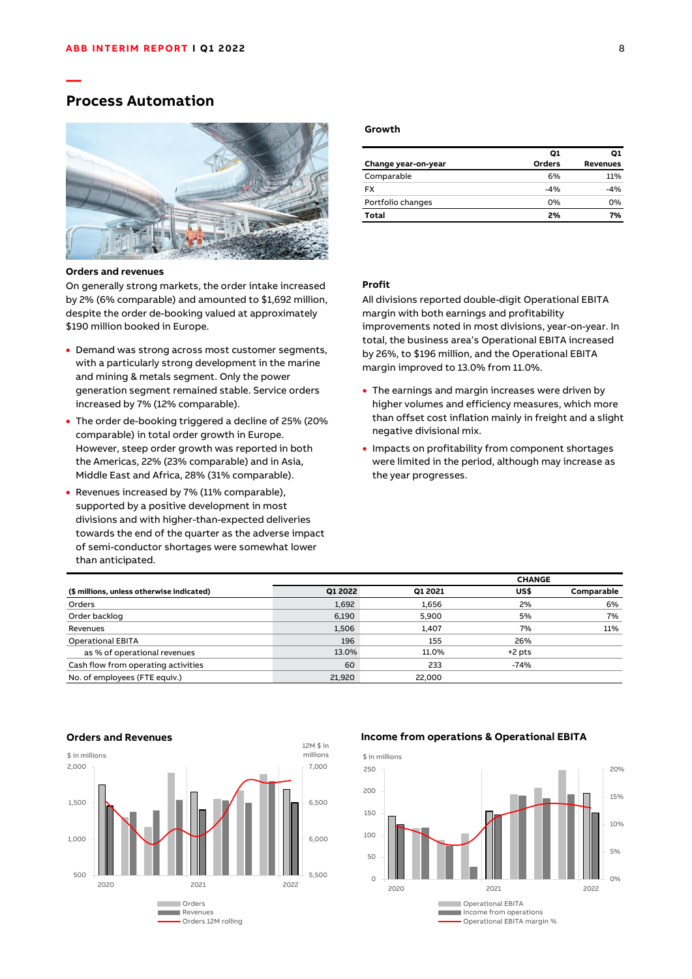## **Process Automation**

**—**



#### **Orders and revenues**

On generally strong markets, the order intake increased by 2% (6% comparable) and amounted to \$1,692 million, despite the order de-booking valued at approximately \$190 million booked in Europe.

- Demand was strong across most customer segments, with a particularly strong development in the marine and mining & metals segment. Only the power generation segment remained stable. Service orders increased by 7% (12% comparable).
- The order de-booking triggered a decline of 25% (20% comparable) in total order growth in Europe. However, steep order growth was reported in both the Americas, 22% (23% comparable) and in Asia, Middle East and Africa, 28% (31% comparable).
- Revenues increased by 7% (11% comparable), supported by a positive development in most divisions and with higher-than-expected deliveries towards the end of the quarter as the adverse impact of semi-conductor shortages were somewhat lower than anticipated.

#### **Growth**

|                     | Ο1     | Ο1              |
|---------------------|--------|-----------------|
| Change year-on-year | Orders | <b>Revenues</b> |
| Comparable          | 6%     | 11%             |
| <b>FX</b>           | $-4%$  | $-4%$           |
| Portfolio changes   | 0%     | 0%              |
| Total               | 2%     | 7%              |

## **Profit**

All divisions reported double-digit Operational EBITA margin with both earnings and profitability improvements noted in most divisions, year-on-year. In total, the business area's Operational EBITA increased by 26%, to \$196 million, and the Operational EBITA margin improved to 13.0% from 11.0%.

- The earnings and margin increases were driven by higher volumes and efficiency measures, which more than offset cost inflation mainly in freight and a slight negative divisional mix.
- Impacts on profitability from component shortages were limited in the period, although may increase as the year progresses.

|                                           |         |         | <b>CHANGE</b> |            |
|-------------------------------------------|---------|---------|---------------|------------|
| (\$ millions, unless otherwise indicated) | O1 2022 | O1 2021 | US\$          | Comparable |
| Orders                                    | 1,692   | 1,656   | 2%            | 6%         |
| Order backlog                             | 6,190   | 5.900   | 5%            | 7%         |
| Revenues                                  | 1,506   | 1.407   | 7%            | 11%        |
| <b>Operational EBITA</b>                  | 196     | 155     | 26%           |            |
| as % of operational revenues              | 13.0%   | 11.0%   | $+2$ pts      |            |
| Cash flow from operating activities       | 60      | 233     | $-74%$        |            |
| No. of employees (FTE equiv.)             | 21.920  | 22,000  |               |            |



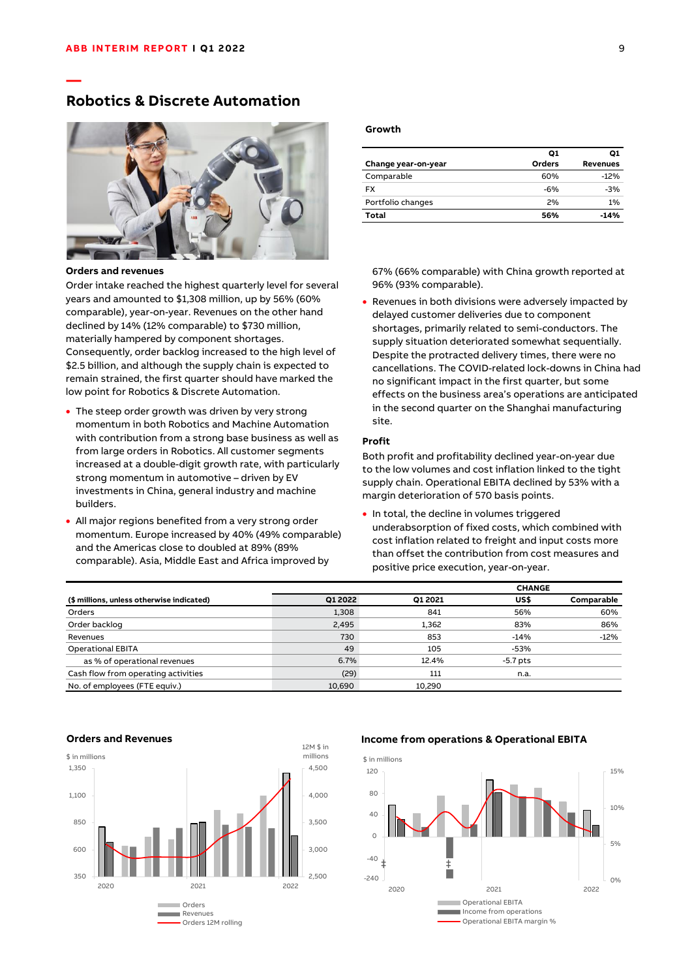## **Robotics & Discrete Automation**



#### **Orders and revenues**

**—**

Order intake reached the highest quarterly level for several years and amounted to \$1,308 million, up by 56% (60% comparable), year-on-year. Revenues on the other hand declined by 14% (12% comparable) to \$730 million, materially hampered by component shortages. Consequently, order backlog increased to the high level of \$2.5 billion, and although the supply chain is expected to remain strained, the first quarter should have marked the low point for Robotics & Discrete Automation.

- The steep order growth was driven by very strong momentum in both Robotics and Machine Automation with contribution from a strong base business as well as from large orders in Robotics. All customer segments increased at a double-digit growth rate, with particularly strong momentum in automotive – driven by EV investments in China, general industry and machine builders.
- All major regions benefited from a very strong order momentum. Europe increased by 40% (49% comparable) and the Americas close to doubled at 89% (89% comparable). Asia, Middle East and Africa improved by

#### **Growth**

|                     | Ο1            | O1              |
|---------------------|---------------|-----------------|
| Change year-on-year | <b>Orders</b> | <b>Revenues</b> |
| Comparable          | 60%           | $-12%$          |
| <b>FX</b>           | $-6%$         | $-3%$           |
| Portfolio changes   | 2%            | 1%              |
| Total               | 56%           | -14%            |

67% (66% comparable) with China growth reported at 96% (93% comparable).

• Revenues in both divisions were adversely impacted by delayed customer deliveries due to component shortages, primarily related to semi-conductors. The supply situation deteriorated somewhat sequentially. Despite the protracted delivery times, there were no cancellations. The COVID-related lock-downs in China had no significant impact in the first quarter, but some effects on the business area's operations are anticipated in the second quarter on the Shanghai manufacturing site.

#### **Profit**

Both profit and profitability declined year-on-year due to the low volumes and cost inflation linked to the tight supply chain. Operational EBITA declined by 53% with a margin deterioration of 570 basis points.

• In total, the decline in volumes triggered underabsorption of fixed costs, which combined with cost inflation related to freight and input costs more than offset the contribution from cost measures and positive price execution, year-on-year.

|                                           |         |         | <b>CHANGE</b> |            |
|-------------------------------------------|---------|---------|---------------|------------|
| (\$ millions, unless otherwise indicated) | Q1 2022 | Q1 2021 | US\$          | Comparable |
| Orders                                    | 1,308   | 841     | 56%           | 60%        |
| Order backlog                             | 2,495   | 1,362   | 83%           | 86%        |
| Revenues                                  | 730     | 853     | $-14%$        | $-12%$     |
| <b>Operational EBITA</b>                  | 49      | 105     | $-53%$        |            |
| as % of operational revenues              | 6.7%    | 12.4%   | $-5.7$ pts    |            |
| Cash flow from operating activities       | (29)    | 111     | n.a.          |            |
| No. of employees (FTE equiv.)             | 10.690  | 10.290  |               |            |



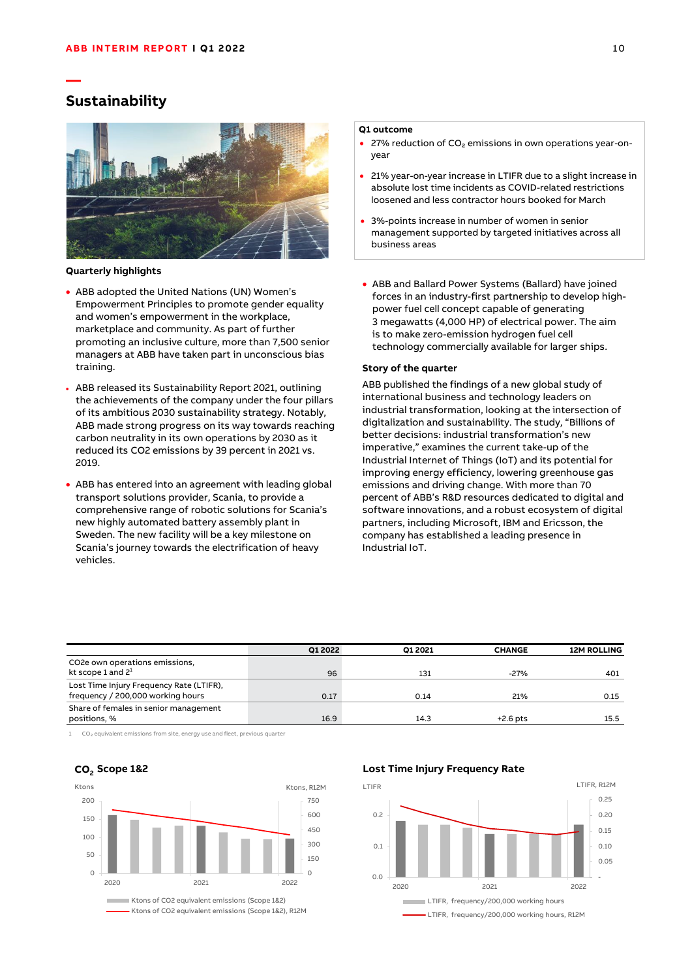## **Sustainability**

**—**



#### **Quarterly highlights**

- ABB adopted the United Nations (UN) Women's Empowerment Principles to promote gender equality and women's empowerment in the workplace, marketplace and community. As part of further promoting an inclusive culture, more than 7,500 senior managers at ABB have taken part in unconscious bias training.
- ABB released its Sustainability Report 2021, outlining the achievements of the company under the four pillars of its ambitious 2030 sustainability strategy. Notably, ABB made strong progress on its way towards reaching carbon neutrality in its own operations by 2030 as it reduced its CO2 emissions by 39 percent in 2021 vs. 2019.
- ABB has entered into an agreement with leading global transport solutions provider, Scania, to provide a comprehensive range of robotic solutions for Scania's new highly automated battery assembly plant in Sweden. The new facility will be a key milestone on Scania's journey towards the electrification of heavy vehicles.

#### **Q1 outcome**

- 27% reduction of CO₂ emissions in own operations year-onyear
- 21% year-on-year increase in LTIFR due to a slight increase in absolute lost time incidents as COVID-related restrictions loosened and less contractor hours booked for March
- 3%-points increase in number of women in senior management supported by targeted initiatives across all business areas
- ABB and Ballard Power Systems (Ballard) have joined forces in an industry-first partnership to develop highpower fuel cell concept capable of generating 3 megawatts (4,000 HP) of electrical power. The aim is to make zero-emission hydrogen fuel cell technology commercially available for larger ships.

#### **Story of the quarter**

ABB published the findings of a new global study of international business and technology leaders on industrial transformation, looking at the intersection of digitalization and sustainability. The study, "Billions of better decisions: industrial transformation's new imperative," examines the current take-up of the Industrial Internet of Things (IoT) and its potential for improving energy efficiency, lowering greenhouse gas emissions and driving change. With more than 70 percent of ABB's R&D resources dedicated to digital and software innovations, and a robust ecosystem of digital partners, including Microsoft, IBM and Ericsson, the company has established a leading presence in Industrial IoT.

|                                          | Q1 2022 | O1 2021 | <b>CHANGE</b> | <b>12M ROLLING</b> |
|------------------------------------------|---------|---------|---------------|--------------------|
| CO2e own operations emissions,           |         |         |               |                    |
| kt scope 1 and $2^1$                     | 96      | 131     | $-27%$        | 401                |
| Lost Time Injury Frequency Rate (LTIFR), |         |         |               |                    |
| frequency / 200,000 working hours        | 0.17    | 0.14    | 21%           | 0.15               |
| Share of females in senior management    |         |         |               |                    |
| positions, %                             | 16.9    | 14.3    | $+2.6$ pts    | 15.5               |

1 CO₂ equivalent emissions from site, energy use and fleet, previous quarter

#### $\Omega$ 150 300 450 600 750  $\Omega$ 50 100 150 200 2020 2021 2022 Ktons of CO2 equivalent emissions (Scope 1&2) **Scope 1&2 CO<sup>2</sup>** Ktons **Ktons, R12M**

[Ktons of CO2 equivalent emissions \(Scope 1&2\), R12M](cdm:chart:Charts:Sheet3:Inc_OpEBITA)

#### **[Lost Time Injury Frequency Rate](cdm:chart:Charts:Sheet3:Inc_OpEBITA)**

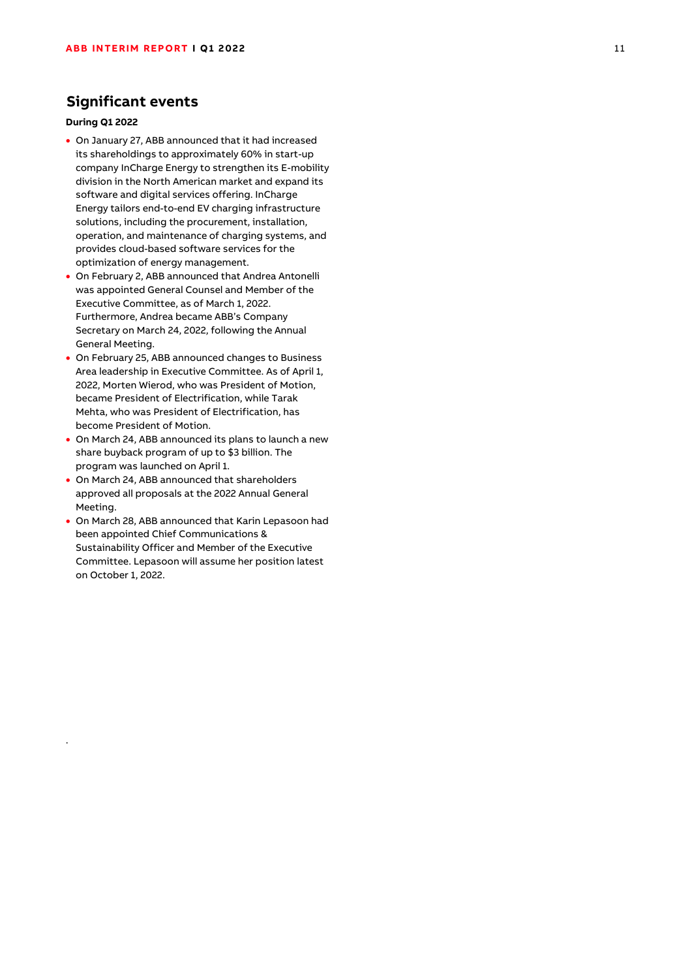## **Significant events**

### **During Q1 2022**

.

- On January 27, ABB announced that it had increased its shareholdings to approximately 60% in start-up company InCharge Energy to strengthen its E-mobility division in the North American market and expand its software and digital services offering. InCharge Energy tailors end-to-end EV charging infrastructure solutions, including the procurement, installation, operation, and maintenance of charging systems, and provides cloud-based software services for the optimization of energy management.
- On February 2, ABB announced that Andrea Antonelli was appointed General Counsel and Member of the Executive Committee, as of March 1, 2022. Furthermore, Andrea became ABB's Company Secretary on March 24, 2022, following the Annual General Meeting.
- On February 25, ABB announced changes to Business Area leadership in Executive Committee. As of April 1, 2022, Morten Wierod, who was President of Motion, became President of Electrification, while Tarak Mehta, who was President of Electrification, has become President of Motion.
- On March 24, ABB announced its plans to launch a new share buyback program of up to \$3 billion. The program was launched on April 1.
- On March 24, ABB announced that shareholders approved all proposals at the 2022 Annual General Meeting.
- On March 28, ABB announced that Karin Lepasoon had been appointed Chief Communications & Sustainability Officer and Member of the Executive Committee. Lepasoon will assume her position latest on October 1, 2022.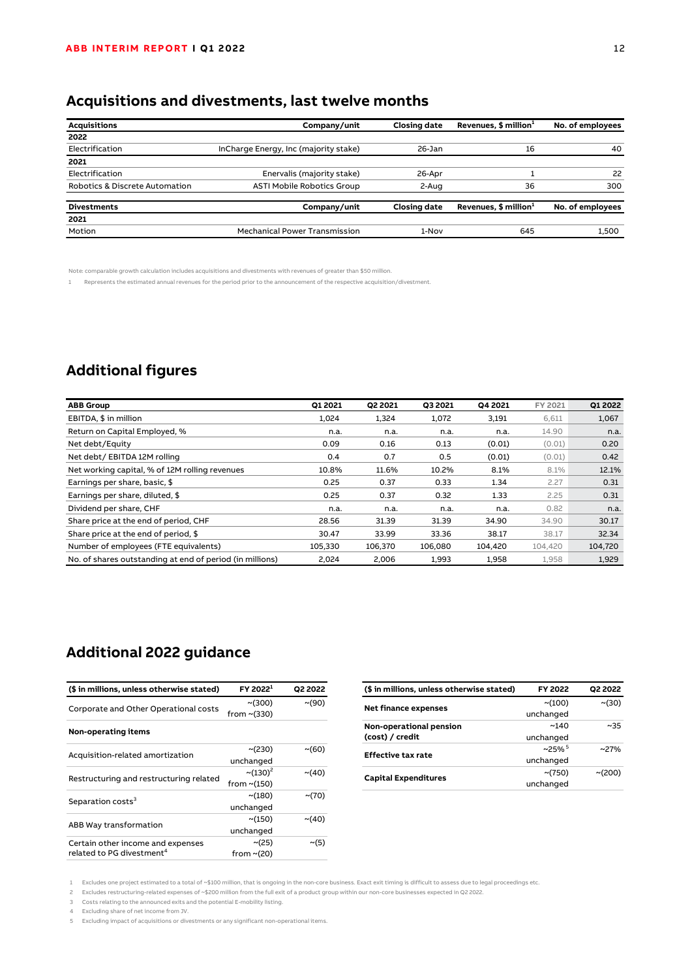# **Acquisitions and divestments, last twelve months**

| <b>Acquisitions</b>            | Company/unit                          | <b>Closing date</b> | Revenues, $$$ million <sup>1</sup> | No. of employees |
|--------------------------------|---------------------------------------|---------------------|------------------------------------|------------------|
| 2022                           |                                       |                     |                                    |                  |
| Electrification                | InCharge Energy, Inc (majority stake) | $26-$ Jan           | 16                                 | 40               |
| 2021                           |                                       |                     |                                    |                  |
| Electrification                | Enervalis (majority stake)            | 26-Apr              |                                    | 22               |
| Robotics & Discrete Automation | <b>ASTI Mobile Robotics Group</b>     | 2-Aug               | 36                                 | 300              |
| <b>Divestments</b>             | Company/unit                          | <b>Closing date</b> | Revenues, $$$ million <sup>1</sup> | No. of employees |
| 2021                           |                                       |                     |                                    |                  |
| Motion                         | <b>Mechanical Power Transmission</b>  | 1-Nov               | 645                                | 1.500            |

Note: comparable growth calculation includes acquisitions and divestments with revenues of greater than \$50 million.

1 Represents the estimated annual revenues for the period prior to the announcement of the respective acquisition/divestment.

## **Additional figures**

| <b>ABB Group</b>                                         | O1 2021 | Q2 2021 | <b>Q3 2021</b> | Q4 2021 | FY 2021 | Q1 2022 |
|----------------------------------------------------------|---------|---------|----------------|---------|---------|---------|
| EBITDA, \$ in million                                    | 1.024   | 1,324   | 1,072          | 3,191   | 6,611   | 1,067   |
| Return on Capital Employed, %                            | n.a.    | n.a.    | n.a.           | n.a.    | 14.90   | n.a.    |
| Net debt/Equity                                          | 0.09    | 0.16    | 0.13           | (0.01)  | (0.01)  | 0.20    |
| Net debt / EBITDA 12M rolling                            | 0.4     | 0.7     | 0.5            | (0.01)  | (0.01)  | 0.42    |
| Net working capital, % of 12M rolling revenues           | 10.8%   | 11.6%   | 10.2%          | 8.1%    | 8.1%    | 12.1%   |
| Earnings per share, basic, \$                            | 0.25    | 0.37    | 0.33           | 1.34    | 2.27    | 0.31    |
| Earnings per share, diluted, \$                          | 0.25    | 0.37    | 0.32           | 1.33    | 2.25    | 0.31    |
| Dividend per share, CHF                                  | n.a.    | n.a.    | n.a.           | n.a.    | 0.82    | n.a.    |
| Share price at the end of period, CHF                    | 28.56   | 31.39   | 31.39          | 34.90   | 34.90   | 30.17   |
| Share price at the end of period, \$                     | 30.47   | 33.99   | 33.36          | 38.17   | 38.17   | 32.34   |
| Number of employees (FTE equivalents)                    | 105.330 | 106.370 | 106.080        | 104.420 | 104,420 | 104,720 |
| No. of shares outstanding at end of period (in millions) | 2,024   | 2,006   | 1,993          | 1,958   | 1,958   | 1,929   |

## **Additional 2022 guidance**

| (\$ in millions, unless otherwise stated) | FY 2022 <sup>1</sup>      | Q2 2022     |
|-------------------------------------------|---------------------------|-------------|
|                                           | $\sim$ (300)              | $\sim$ (90) |
| Corporate and Other Operational costs     | from $\sim$ (330)         |             |
| Non-operating items                       |                           |             |
|                                           | ~(230)                    | ~(60)       |
| Acquisition-related amortization          | unchanged                 |             |
| Restructuring and restructuring related   | $\sim$ (130) <sup>2</sup> | $\sim$ (40) |
|                                           | from $\sim$ (150)         |             |
| Separation costs <sup>3</sup>             | ~180)                     | $\sim$ (70) |
|                                           | unchanged                 |             |
|                                           | ~150)                     | $\sim$ (40) |
| ABB Way transformation                    | unchanged                 |             |
| Certain other income and expenses         | $\sim$ (25)               | $\sim$ (5)  |
| related to PG divestment <sup>4</sup>     | from $\sim$ (20)          |             |

| (\$ in millions, unless otherwise stated) | <b>FY 2022</b>       | Q2 2022 |
|-------------------------------------------|----------------------|---------|
| <b>Net finance expenses</b>               | ~100                 | ~(30)   |
|                                           | unchanged            |         |
| Non-operational pension                   | ~140                 | ~1.35   |
| (cost) / credit                           | unchanged            |         |
| <b>Effective tax rate</b>                 | $~25\%$ <sup>5</sup> | $~27\%$ |
|                                           | unchanged            |         |
|                                           | $\sim$ (750)         | ~1000   |
| <b>Capital Expenditures</b>               | unchanged            |         |

1 Excludes one project estimated to a total of ~\$100 million, that is ongoing in the non-core business. Exact exit timing is difficult to assess due to legal proceedings etc.

2 Excludes restructuring-related expenses of ~\$200 million from the full exit of a product group within our non-core businesses expected in Q2 2022.

3 Costs relating to the announced exits and the potential E-mobility listing.

4 Excluding share of net income from JV.

5 Excluding impact of acquisitions or divestments or any significant non-operational items.